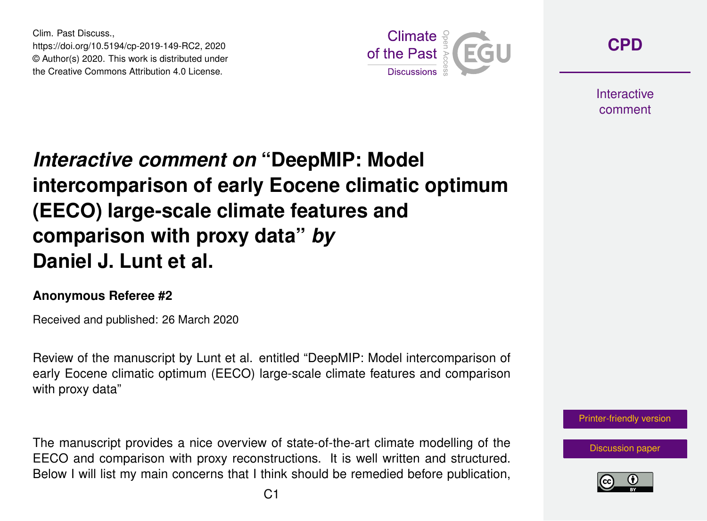Clim. Past Discuss., https://doi.org/10.5194/cp-2019-149-RC2, 2020 © Author(s) 2020. This work is distributed under the Creative Commons Attribution 4.0 License.



**[CPD](https://www.clim-past-discuss.net/)**

**Interactive** comment

## *Interactive comment on* **"DeepMIP: Model intercomparison of early Eocene climatic optimum (EECO) large-scale climate features and comparison with proxy data"** *by* **Daniel J. Lunt et al.**

## **Anonymous Referee #2**

Received and published: 26 March 2020

Review of the manuscript by Lunt et al. entitled "DeepMIP: Model intercomparison of early Eocene climatic optimum (EECO) large-scale climate features and comparison with proxy data"

The manuscript provides a nice overview of state-of-the-art climate modelling of the EECO and comparison with proxy reconstructions. It is well written and structured. Below I will list my main concerns that I think should be remedied before publication,



[Discussion paper](https://www.clim-past-discuss.net/cp-2019-149)

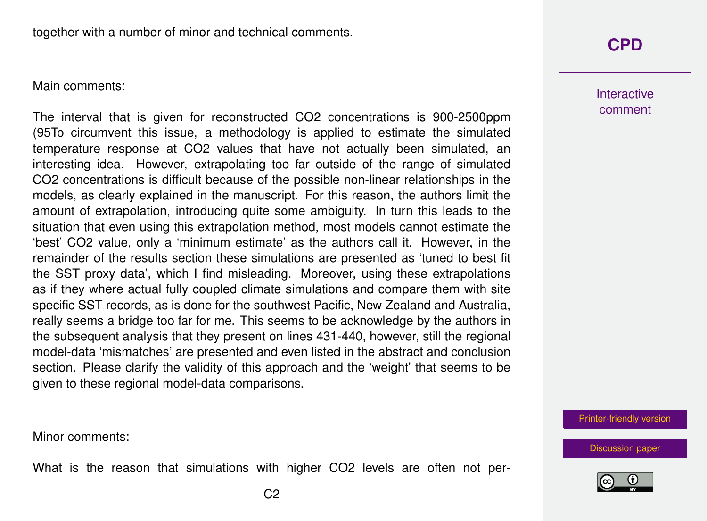Main comments:

The interval that is given for reconstructed CO2 concentrations is 900-2500ppm (95To circumvent this issue, a methodology is applied to estimate the simulated temperature response at CO2 values that have not actually been simulated, an interesting idea. However, extrapolating too far outside of the range of simulated CO2 concentrations is difficult because of the possible non-linear relationships in the models, as clearly explained in the manuscript. For this reason, the authors limit the amount of extrapolation, introducing quite some ambiguity. In turn this leads to the situation that even using this extrapolation method, most models cannot estimate the 'best' CO2 value, only a 'minimum estimate' as the authors call it. However, in the remainder of the results section these simulations are presented as 'tuned to best fit the SST proxy data', which I find misleading. Moreover, using these extrapolations as if they where actual fully coupled climate simulations and compare them with site specific SST records, as is done for the southwest Pacific, New Zealand and Australia, really seems a bridge too far for me. This seems to be acknowledge by the authors in the subsequent analysis that they present on lines 431-440, however, still the regional model-data 'mismatches' are presented and even listed in the abstract and conclusion section. Please clarify the validity of this approach and the 'weight' that seems to be given to these regional model-data comparisons.

**[CPD](https://www.clim-past-discuss.net/)**

**Interactive** comment

[Printer-friendly version](https://www.clim-past-discuss.net/cp-2019-149/cp-2019-149-RC2-print.pdf)

[Discussion paper](https://www.clim-past-discuss.net/cp-2019-149)

Minor comments:

What is the reason that simulations with higher CO2 levels are often not per-

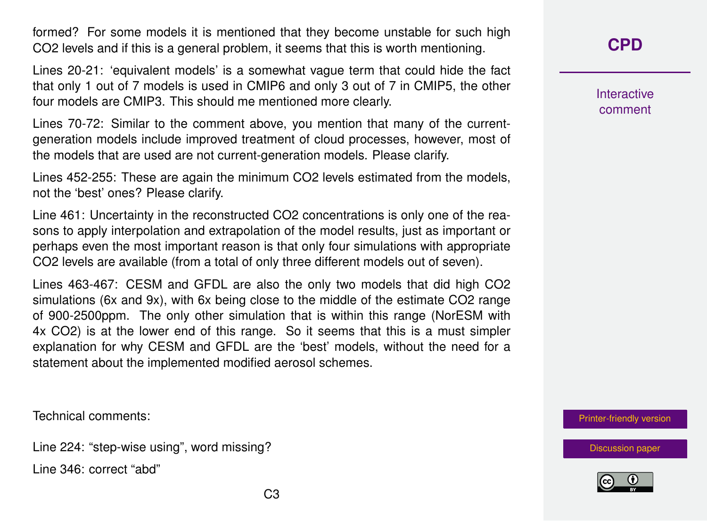formed? For some models it is mentioned that they become unstable for such high CO2 levels and if this is a general problem, it seems that this is worth mentioning.

Lines 20-21: 'equivalent models' is a somewhat vague term that could hide the fact that only 1 out of 7 models is used in CMIP6 and only 3 out of 7 in CMIP5, the other four models are CMIP3. This should me mentioned more clearly.

Lines 70-72: Similar to the comment above, you mention that many of the currentgeneration models include improved treatment of cloud processes, however, most of the models that are used are not current-generation models. Please clarify.

Lines 452-255: These are again the minimum CO2 levels estimated from the models, not the 'best' ones? Please clarify.

Line 461: Uncertainty in the reconstructed CO2 concentrations is only one of the reasons to apply interpolation and extrapolation of the model results, just as important or perhaps even the most important reason is that only four simulations with appropriate CO2 levels are available (from a total of only three different models out of seven).

Lines 463-467: CESM and GFDL are also the only two models that did high CO2 simulations (6x and 9x), with 6x being close to the middle of the estimate CO2 range of 900-2500ppm. The only other simulation that is within this range (NorESM with 4x CO2) is at the lower end of this range. So it seems that this is a must simpler explanation for why CESM and GFDL are the 'best' models, without the need for a statement about the implemented modified aerosol schemes.

Technical comments:

Line 224: "step-wise using", word missing?

Line 346: correct "abd"

**[CPD](https://www.clim-past-discuss.net/)**

**Interactive** comment

[Printer-friendly version](https://www.clim-past-discuss.net/cp-2019-149/cp-2019-149-RC2-print.pdf)

[Discussion paper](https://www.clim-past-discuss.net/cp-2019-149)